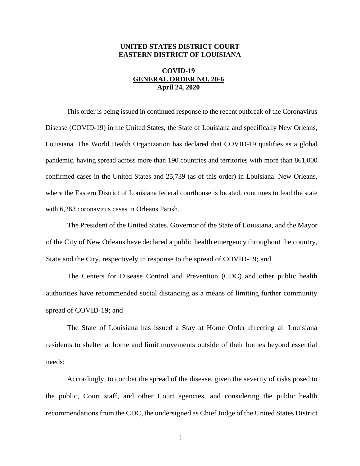## **UNITED STATES DISTRICT COURT EASTERN DISTRICT OF LOUISIANA**

## **COVID-19 GENERAL ORDER NO. 20-6 April 24, 2020**

This order is being issued in continued response to the recent outbreak of the Coronavirus Disease (COVID-19) in the United States, the State of Louisiana and specifically New Orleans, Louisiana. The World Health Organization has declared that COVID-19 qualifies as a global pandemic, having spread across more than 190 countries and territories with more than 861,000 confirmed cases in the United States and 25,739 (as of this order) in Louisiana. New Orleans, where the Eastern District of Louisiana federal courthouse is located, continues to lead the state with 6,263 coronavirus cases in Orleans Parish.

The President of the United States, Governor of the State of Louisiana, and the Mayor of the City of New Orleans have declared a public health emergency throughout the country, State and the City, respectively in response to the spread of COVID-19; and

The Centers for Disease Control and Prevention (CDC) and other public health authorities have recommended social distancing as a means of limiting further community spread of COVID-19; and

The State of Louisiana has issued a Stay at Home Order directing all Louisiana residents to shelter at home and limit movements outside of their homes beyond essential needs;

Accordingly, to combat the spread of the disease, given the severity of risks posed to the public, Court staff, and other Court agencies, and considering the public health recommendations from the CDC, the undersigned as Chief Judge of the United States District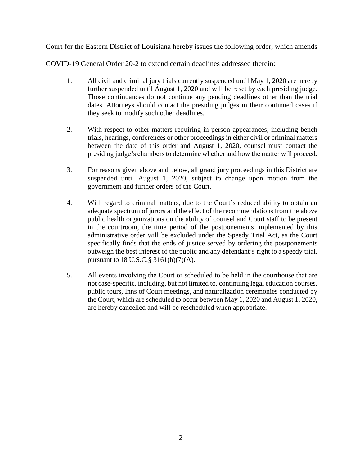Court for the Eastern District of Louisiana hereby issues the following order, which amends

COVID-19 General Order 20-2 to extend certain deadlines addressed therein:

- 1. All civil and criminal jury trials currently suspended until May 1, 2020 are hereby further suspended until August 1, 2020 and will be reset by each presiding judge. Those continuances do not continue any pending deadlines other than the trial dates. Attorneys should contact the presiding judges in their continued cases if they seek to modify such other deadlines.
- 2. With respect to other matters requiring in-person appearances, including bench trials, hearings, conferences or other proceedings in either civil or criminal matters between the date of this order and August 1, 2020, counsel must contact the presiding judge's chambers to determine whether and how the matter will proceed.
- 3. For reasons given above and below, all grand jury proceedings in this District are suspended until August 1, 2020, subject to change upon motion from the government and further orders of the Court.
- 4. With regard to criminal matters, due to the Court's reduced ability to obtain an adequate spectrum of jurors and the effect of the recommendations from the above public health organizations on the ability of counsel and Court staff to be present in the courtroom, the time period of the postponements implemented by this administrative order will be excluded under the Speedy Trial Act, as the Court specifically finds that the ends of justice served by ordering the postponements outweigh the best interest of the public and any defendant's right to a speedy trial, pursuant to 18 U.S.C.§ 3161(h)(7)(A).
- 5. All events involving the Court or scheduled to be held in the courthouse that are not case-specific, including, but not limited to, continuing legal education courses, public tours, Inns of Court meetings, and naturalization ceremonies conducted by the Court, which are scheduled to occur between May 1, 2020 and August 1, 2020, are hereby cancelled and will be rescheduled when appropriate.